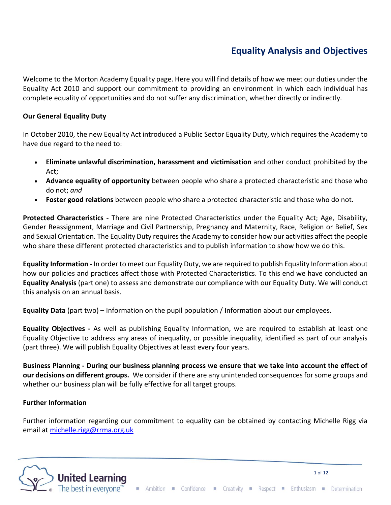# **Equality Analysis and Objectives**

Welcome to the Morton Academy Equality page. Here you will find details of how we meet our duties under the Equality Act 2010 and support our commitment to providing an environment in which each individual has complete equality of opportunities and do not suffer any discrimination, whether directly or indirectly.

### **Our General Equality Duty**

In October 2010, the new Equality Act introduced a Public Sector Equality Duty, which requires the Academy to have due regard to the need to:

- **Eliminate unlawful discrimination, harassment and victimisation** and other conduct prohibited by the Act;
- **Advance equality of opportunity** between people who share a protected characteristic and those who do not; *and*
- **Foster good relations** between people who share a protected characteristic and those who do not.

**Protected Characteristics -** There are nine Protected Characteristics under the Equality Act; Age, Disability, Gender Reassignment, Marriage and Civil Partnership, Pregnancy and Maternity, Race, Religion or Belief, Sex and Sexual Orientation. The Equality Duty requires the Academy to consider how our activities affect the people who share these different protected characteristics and to publish information to show how we do this.

**Equality Information -** In order to meet our Equality Duty, we are required to publish Equality Information about how our policies and practices affect those with Protected Characteristics. To this end we have conducted an **Equality Analysis** (part one) to assess and demonstrate our compliance with our Equality Duty. We will conduct this analysis on an annual basis.

**Equality Data** (part two) **–** Information on the pupil population / Information about our employees.

**Equality Objectives -** As well as publishing Equality Information, we are required to establish at least one Equality Objective to address any areas of inequality, or possible inequality, identified as part of our analysis (part three). We will publish Equality Objectives at least every four years.

**Business Planning - During our business planning process we ensure that we take into account the effect of our decisions on different groups.** We consider if there are any unintended consequences for some groups and whether our business plan will be fully effective for all target groups.

### **Further Information**

Further information regarding our commitment to equality can be obtained by contacting Michelle Rigg via email at [michelle.rigg@rrma.org.uk](mailto:michelle.rigg@rrma.org.uk)



1 of 12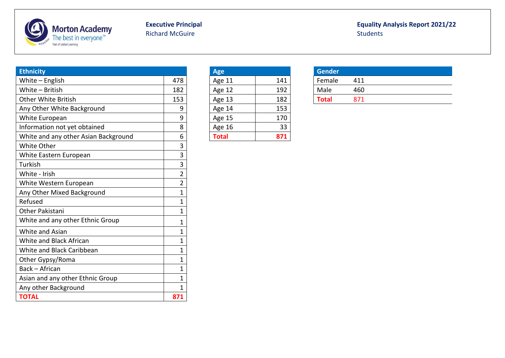

# Richard McGuire

# **Executive Principal Executive Principal Executive Principal Equality Analysis Report 2021/22**<br>Richard McGuire **Executive Students**

| <b>Ethnicity</b>                     |                | <b>Age</b>    |     | <b>Gender</b> |     |
|--------------------------------------|----------------|---------------|-----|---------------|-----|
| White $-$ English                    | 478            | Age 11        | 141 | Female        | 411 |
| White - British                      | 182            | Age 12        | 192 | Male          | 460 |
| <b>Other White British</b>           | 153            | Age 13        | 182 | <b>Total</b>  | 871 |
| Any Other White Background           | 9              | Age 14        | 153 |               |     |
| White European                       | 9              | Age 15        | 170 |               |     |
| Information not yet obtained         | 8              | <b>Age 16</b> | 33  |               |     |
| White and any other Asian Background | 6              | <b>Total</b>  | 871 |               |     |
| White Other                          | 3              |               |     |               |     |
| White Eastern European               | 3              |               |     |               |     |
| Turkish                              | 3              |               |     |               |     |
| White - Irish                        | $\overline{2}$ |               |     |               |     |
| White Western European               | $\overline{2}$ |               |     |               |     |
| Any Other Mixed Background           | 1              |               |     |               |     |
| Refused                              | 1              |               |     |               |     |
| Other Pakistani                      | 1              |               |     |               |     |
| White and any other Ethnic Group     | 1              |               |     |               |     |
| White and Asian                      | 1              |               |     |               |     |
| White and Black African              | 1              |               |     |               |     |
| White and Black Caribbean            | 1              |               |     |               |     |
| Other Gypsy/Roma                     | 1              |               |     |               |     |
| Back - African                       | 1              |               |     |               |     |
| Asian and any other Ethnic Group     | 1              |               |     |               |     |
| Any other Background                 | 1              |               |     |               |     |
| <b>TOTAL</b>                         | 871            |               |     |               |     |

| <b>Age</b>   |     |
|--------------|-----|
| Age 11       | 141 |
| Age 12       | 192 |
| Age 13       | 182 |
| Age 14       | 153 |
| Age 15       | 170 |
| Age 16       | 33  |
| <b>Total</b> | 871 |

| <b>Gender</b> |     |  |
|---------------|-----|--|
| Female        | 411 |  |
| Male          | 460 |  |
| Total         | 871 |  |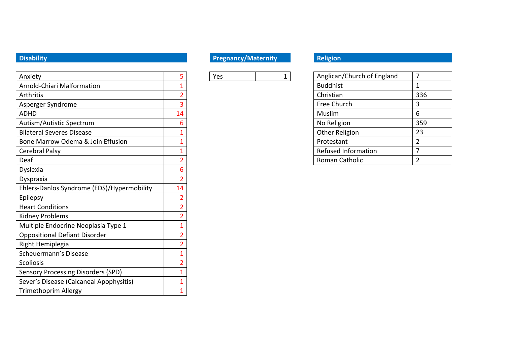| Anxiety                                    | 5              | Yes | 1 | Anglican/Church of England | 7              |
|--------------------------------------------|----------------|-----|---|----------------------------|----------------|
| Arnold-Chiari Malformation                 |                |     |   | <b>Buddhist</b>            | $\mathbf{1}$   |
| Arthritis                                  | $\overline{2}$ |     |   | Christian                  | 336            |
| Asperger Syndrome                          | 3              |     |   | Free Church                | 3              |
| <b>ADHD</b>                                | 14             |     |   | Muslim                     | 6              |
| Autism/Autistic Spectrum                   | 6              |     |   | No Religion                | 359            |
| <b>Bilateral Severes Disease</b>           |                |     |   | Other Religion             | 23             |
| Bone Marrow Odema & Join Effusion          |                |     |   | Protestant                 | 2              |
| Cerebral Palsy                             |                |     |   | <b>Refused Information</b> | 7              |
| Deaf                                       | 2              |     |   | Roman Catholic             | $\overline{2}$ |
| Dyslexia                                   | 6              |     |   |                            |                |
| Dyspraxia                                  | $\overline{2}$ |     |   |                            |                |
| Ehlers-Danlos Syndrome (EDS)/Hypermobility | 14             |     |   |                            |                |
| Epilepsy                                   | $\overline{2}$ |     |   |                            |                |
| <b>Heart Conditions</b>                    | $\overline{2}$ |     |   |                            |                |
| <b>Kidney Problems</b>                     | 2              |     |   |                            |                |
| Multiple Endocrine Neoplasia Type 1        |                |     |   |                            |                |
| <b>Oppositional Defiant Disorder</b>       | $\overline{2}$ |     |   |                            |                |
| Right Hemiplegia                           | $\overline{2}$ |     |   |                            |                |
| Scheuermann's Disease                      |                |     |   |                            |                |
| <b>Scoliosis</b>                           | $\overline{2}$ |     |   |                            |                |
| <b>Sensory Processing Disorders (SPD)</b>  |                |     |   |                            |                |
| Sever's Disease (Calcaneal Apophysitis)    |                |     |   |                            |                |
| <b>Trimethoprim Allergy</b>                |                |     |   |                            |                |

# **Disability Pregnancy/Maternity Religion**

| Anglican/Church of England |                |
|----------------------------|----------------|
| <b>Buddhist</b>            | 1              |
| Christian                  | 336            |
| Free Church                | 3              |
| Muslim                     | 6              |
| No Religion                | 359            |
| Other Religion             | 23             |
| Protestant                 | $\mathfrak{p}$ |
| <b>Refused Information</b> |                |
| Roman Catholic             |                |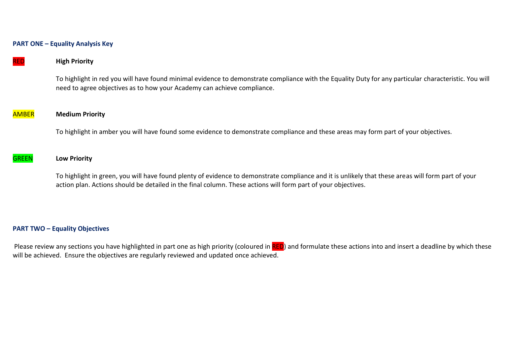#### **PART ONE – Equality Analysis Key**

RED **High Priority**

To highlight in red you will have found minimal evidence to demonstrate compliance with the Equality Duty for any particular characteristic. You will need to agree objectives as to how your Academy can achieve compliance.

### AMBER **Medium Priority**

To highlight in amber you will have found some evidence to demonstrate compliance and these areas may form part of your objectives.

#### GREEN **Low Priority**

To highlight in green, you will have found plenty of evidence to demonstrate compliance and it is unlikely that these areas will form part of your action plan. Actions should be detailed in the final column. These actions will form part of your objectives.

#### **PART TWO – Equality Objectives**

Please review any sections you have highlighted in part one as high priority (coloured in RED) and formulate these actions into and insert a deadline by which these will be achieved. Ensure the objectives are regularly reviewed and updated once achieved.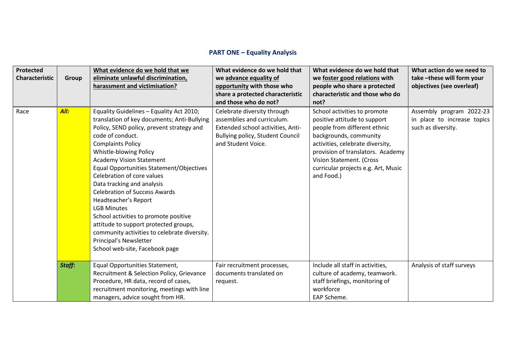# **PART ONE – Equality Analysis**

| <b>Protected</b><br><b>Characteristic</b> | <b>Group</b> | What evidence do we hold that we<br>eliminate unlawful discrimination,                                                                                                                                                                                                                                                                                                                                                                                                                                                                                                                                                                        | What evidence do we hold that<br>we advance equality of                                                                                                  | What evidence do we hold that<br>we foster good relations with                                                                                                                                                                                                                   | What action do we need to<br>take-these will form your                        |
|-------------------------------------------|--------------|-----------------------------------------------------------------------------------------------------------------------------------------------------------------------------------------------------------------------------------------------------------------------------------------------------------------------------------------------------------------------------------------------------------------------------------------------------------------------------------------------------------------------------------------------------------------------------------------------------------------------------------------------|----------------------------------------------------------------------------------------------------------------------------------------------------------|----------------------------------------------------------------------------------------------------------------------------------------------------------------------------------------------------------------------------------------------------------------------------------|-------------------------------------------------------------------------------|
|                                           |              | harassment and victimisation?                                                                                                                                                                                                                                                                                                                                                                                                                                                                                                                                                                                                                 | opportunity with those who                                                                                                                               | people who share a protected                                                                                                                                                                                                                                                     | objectives (see overleaf)                                                     |
|                                           |              |                                                                                                                                                                                                                                                                                                                                                                                                                                                                                                                                                                                                                                               | share a protected characteristic<br>and those who do not?                                                                                                | characteristic and those who do<br>not?                                                                                                                                                                                                                                          |                                                                               |
| Race                                      | All:         | Equality Guidelines - Equality Act 2010;<br>translation of key documents; Anti-Bullying<br>Policy, SEND policy, prevent strategy and<br>code of conduct.<br><b>Complaints Policy</b><br>Whistle-blowing Policy<br><b>Academy Vision Statement</b><br>Equal Opportunities Statement/Objectives<br>Celebration of core values<br>Data tracking and analysis<br><b>Celebration of Success Awards</b><br>Headteacher's Report<br><b>LGB Minutes</b><br>School activities to promote positive<br>attitude to support protected groups,<br>community activities to celebrate diversity.<br>Principal's Newsletter<br>School web-site, Facebook page | Celebrate diversity through<br>assemblies and curriculum.<br>Extended school activities, Anti-<br>Bullying policy, Student Council<br>and Student Voice. | School activities to promote<br>positive attitude to support<br>people from different ethnic<br>backgrounds, community<br>activities, celebrate diversity,<br>provision of translators. Academy<br>Vision Statement. (Cross<br>curricular projects e.g. Art, Music<br>and Food.) | Assembly program 2022-23<br>in place to increase topics<br>such as diversity. |
|                                           | Staff:       | Equal Opportunities Statement,<br>Recruitment & Selection Policy, Grievance                                                                                                                                                                                                                                                                                                                                                                                                                                                                                                                                                                   | Fair recruitment processes,<br>documents translated on                                                                                                   | Include all staff in activities,<br>culture of academy, teamwork.                                                                                                                                                                                                                | Analysis of staff surveys                                                     |
|                                           |              | Procedure, HR data, record of cases,                                                                                                                                                                                                                                                                                                                                                                                                                                                                                                                                                                                                          | request.                                                                                                                                                 | staff briefings, monitoring of                                                                                                                                                                                                                                                   |                                                                               |
|                                           |              | recruitment monitoring, meetings with line                                                                                                                                                                                                                                                                                                                                                                                                                                                                                                                                                                                                    |                                                                                                                                                          | workforce                                                                                                                                                                                                                                                                        |                                                                               |
|                                           |              | managers, advice sought from HR.                                                                                                                                                                                                                                                                                                                                                                                                                                                                                                                                                                                                              |                                                                                                                                                          | EAP Scheme.                                                                                                                                                                                                                                                                      |                                                                               |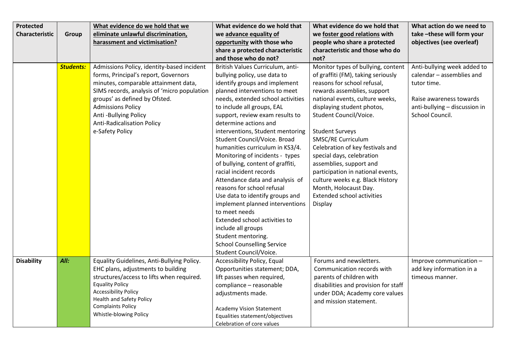| Protected         |                  | What evidence do we hold that we                                                                                                                                                                                                                                                                                       | What evidence do we hold that                                                                                                                                                                                                                                                                                                                                                                                                                                                                                                                                                                                                                                                                                                                         | What evidence do we hold that                                                                                                                                                                                                                                                                                                                                                                                                                                                                                                          | What action do we need to                                                                                                                              |
|-------------------|------------------|------------------------------------------------------------------------------------------------------------------------------------------------------------------------------------------------------------------------------------------------------------------------------------------------------------------------|-------------------------------------------------------------------------------------------------------------------------------------------------------------------------------------------------------------------------------------------------------------------------------------------------------------------------------------------------------------------------------------------------------------------------------------------------------------------------------------------------------------------------------------------------------------------------------------------------------------------------------------------------------------------------------------------------------------------------------------------------------|----------------------------------------------------------------------------------------------------------------------------------------------------------------------------------------------------------------------------------------------------------------------------------------------------------------------------------------------------------------------------------------------------------------------------------------------------------------------------------------------------------------------------------------|--------------------------------------------------------------------------------------------------------------------------------------------------------|
| Characteristic    | Group            | eliminate unlawful discrimination,                                                                                                                                                                                                                                                                                     | we advance equality of                                                                                                                                                                                                                                                                                                                                                                                                                                                                                                                                                                                                                                                                                                                                | we foster good relations with                                                                                                                                                                                                                                                                                                                                                                                                                                                                                                          | take-these will form your                                                                                                                              |
|                   |                  | harassment and victimisation?                                                                                                                                                                                                                                                                                          | opportunity with those who                                                                                                                                                                                                                                                                                                                                                                                                                                                                                                                                                                                                                                                                                                                            | people who share a protected                                                                                                                                                                                                                                                                                                                                                                                                                                                                                                           | objectives (see overleaf)                                                                                                                              |
|                   |                  |                                                                                                                                                                                                                                                                                                                        | share a protected characteristic                                                                                                                                                                                                                                                                                                                                                                                                                                                                                                                                                                                                                                                                                                                      | characteristic and those who do                                                                                                                                                                                                                                                                                                                                                                                                                                                                                                        |                                                                                                                                                        |
|                   |                  |                                                                                                                                                                                                                                                                                                                        | and those who do not?                                                                                                                                                                                                                                                                                                                                                                                                                                                                                                                                                                                                                                                                                                                                 | not?                                                                                                                                                                                                                                                                                                                                                                                                                                                                                                                                   |                                                                                                                                                        |
|                   | <b>Students:</b> | Admissions Policy, identity-based incident<br>forms, Principal's report, Governors<br>minutes, comparable attainment data,<br>SIMS records, analysis of 'micro population<br>groups' as defined by Ofsted.<br><b>Admissions Policy</b><br>Anti-Bullying Policy<br><b>Anti-Radicalisation Policy</b><br>e-Safety Policy | British Values Curriculum, anti-<br>bullying policy, use data to<br>identify groups and implement<br>planned interventions to meet<br>needs, extended school activities<br>to include all groups, EAL<br>support, review exam results to<br>determine actions and<br>interventions, Student mentoring<br>Student Council/Voice. Broad<br>humanities curriculum in KS3/4.<br>Monitoring of incidents - types<br>of bullying, content of graffiti,<br>racial incident records<br>Attendance data and analysis of<br>reasons for school refusal<br>Use data to identify groups and<br>implement planned interventions<br>to meet needs<br>Extended school activities to<br>include all groups<br>Student mentoring.<br><b>School Counselling Service</b> | Monitor types of bullying, content<br>of graffiti (FM), taking seriously<br>reasons for school refusal,<br>rewards assemblies, support<br>national events, culture weeks,<br>displaying student photos,<br>Student Council/Voice.<br><b>Student Surveys</b><br><b>SMSC/RE Curriculum</b><br>Celebration of key festivals and<br>special days, celebration<br>assemblies, support and<br>participation in national events,<br>culture weeks e.g. Black History<br>Month, Holocaust Day.<br><b>Extended school activities</b><br>Display | Anti-bullying week added to<br>calendar - assemblies and<br>tutor time.<br>Raise awareness towards<br>anti-bullying - discussion in<br>School Council. |
|                   |                  |                                                                                                                                                                                                                                                                                                                        | Student Council/Voice.                                                                                                                                                                                                                                                                                                                                                                                                                                                                                                                                                                                                                                                                                                                                |                                                                                                                                                                                                                                                                                                                                                                                                                                                                                                                                        |                                                                                                                                                        |
| <b>Disability</b> | All:             | Equality Guidelines, Anti-Bullying Policy.<br>EHC plans, adjustments to building<br>structures/access to lifts when required.<br><b>Equality Policy</b><br><b>Accessibility Policy</b><br><b>Health and Safety Policy</b><br><b>Complaints Policy</b><br>Whistle-blowing Policy                                        | Accessibility Policy, Equal<br>Opportunities statement; DDA,<br>lift passes when required,<br>compliance - reasonable<br>adjustments made.<br><b>Academy Vision Statement</b><br>Equalities statement/objectives<br>Celebration of core values                                                                                                                                                                                                                                                                                                                                                                                                                                                                                                        | Forums and newsletters.<br>Communication records with<br>parents of children with<br>disabilities and provision for staff<br>under DDA; Academy core values<br>and mission statement.                                                                                                                                                                                                                                                                                                                                                  | Improve communication -<br>add key information in a<br>timeous manner.                                                                                 |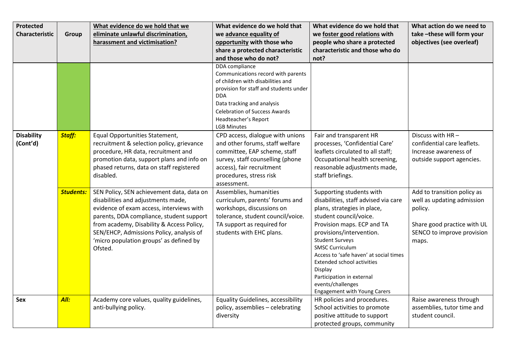| Protected                     |                  | What evidence do we hold that we                                                                                                                                                                                                                                 | What evidence do we hold that                                                                                                                                                         | What evidence do we hold that                                                                                                                                                                                                | What action do we need to                                                                                                         |
|-------------------------------|------------------|------------------------------------------------------------------------------------------------------------------------------------------------------------------------------------------------------------------------------------------------------------------|---------------------------------------------------------------------------------------------------------------------------------------------------------------------------------------|------------------------------------------------------------------------------------------------------------------------------------------------------------------------------------------------------------------------------|-----------------------------------------------------------------------------------------------------------------------------------|
| Characteristic                | Group            | eliminate unlawful discrimination,                                                                                                                                                                                                                               | we advance equality of                                                                                                                                                                | we foster good relations with                                                                                                                                                                                                | take-these will form your                                                                                                         |
|                               |                  | harassment and victimisation?                                                                                                                                                                                                                                    | opportunity with those who                                                                                                                                                            | people who share a protected                                                                                                                                                                                                 | objectives (see overleaf)                                                                                                         |
|                               |                  |                                                                                                                                                                                                                                                                  | share a protected characteristic                                                                                                                                                      | characteristic and those who do                                                                                                                                                                                              |                                                                                                                                   |
|                               |                  |                                                                                                                                                                                                                                                                  | and those who do not?                                                                                                                                                                 | not?                                                                                                                                                                                                                         |                                                                                                                                   |
|                               |                  |                                                                                                                                                                                                                                                                  | DDA compliance<br>Communications record with parents<br>of children with disabilities and<br>provision for staff and students under                                                   |                                                                                                                                                                                                                              |                                                                                                                                   |
|                               |                  |                                                                                                                                                                                                                                                                  | <b>DDA</b>                                                                                                                                                                            |                                                                                                                                                                                                                              |                                                                                                                                   |
|                               |                  |                                                                                                                                                                                                                                                                  | Data tracking and analysis                                                                                                                                                            |                                                                                                                                                                                                                              |                                                                                                                                   |
|                               |                  |                                                                                                                                                                                                                                                                  | <b>Celebration of Success Awards</b>                                                                                                                                                  |                                                                                                                                                                                                                              |                                                                                                                                   |
|                               |                  |                                                                                                                                                                                                                                                                  | Headteacher's Report                                                                                                                                                                  |                                                                                                                                                                                                                              |                                                                                                                                   |
|                               |                  |                                                                                                                                                                                                                                                                  | <b>LGB Minutes</b>                                                                                                                                                                    |                                                                                                                                                                                                                              |                                                                                                                                   |
| <b>Disability</b><br>(Cont'd) | <b>Staff:</b>    | Equal Opportunities Statement,<br>recruitment & selection policy, grievance                                                                                                                                                                                      | CPD access, dialogue with unions<br>and other forums, staff welfare                                                                                                                   | Fair and transparent HR<br>processes, 'Confidential Care'                                                                                                                                                                    | Discuss with HR-<br>confidential care leaflets.                                                                                   |
|                               |                  | procedure, HR data, recruitment and                                                                                                                                                                                                                              | committee, EAP scheme, staff                                                                                                                                                          | leaflets circulated to all staff;                                                                                                                                                                                            | Increase awareness of                                                                                                             |
|                               |                  | promotion data, support plans and info on                                                                                                                                                                                                                        | survey, staff counselling (phone                                                                                                                                                      | Occupational health screening,                                                                                                                                                                                               | outside support agencies.                                                                                                         |
|                               |                  | phased returns, data on staff registered                                                                                                                                                                                                                         | access), fair recruitment                                                                                                                                                             | reasonable adjustments made,                                                                                                                                                                                                 |                                                                                                                                   |
|                               |                  | disabled.                                                                                                                                                                                                                                                        | procedures, stress risk<br>assessment.                                                                                                                                                | staff briefings.                                                                                                                                                                                                             |                                                                                                                                   |
|                               | <b>Students:</b> | SEN Policy, SEN achievement data, data on<br>disabilities and adjustments made,<br>evidence of exam access, interviews with<br>parents, DDA compliance, student support<br>from academy, Disability & Access Policy,<br>SEN/EHCP, Admissions Policy, analysis of | Assemblies, humanities<br>curriculum, parents' forums and<br>workshops, discussions on<br>tolerance, student council/voice.<br>TA support as required for<br>students with EHC plans. | Supporting students with<br>disabilities, staff advised via care<br>plans, strategies in place,<br>student council/voice.<br>Provision maps. ECP and TA<br>provisions/intervention.                                          | Add to transition policy as<br>well as updating admission<br>policy.<br>Share good practice with UL<br>SENCO to improve provision |
|                               |                  | 'micro population groups' as defined by<br>Ofsted.                                                                                                                                                                                                               |                                                                                                                                                                                       | <b>Student Surveys</b><br><b>SMSC Curriculum</b><br>Access to 'safe haven' at social times<br>Extended school activities<br>Display<br>Participation in external<br>events/challenges<br><b>Engagement with Young Carers</b> | maps.                                                                                                                             |
| Sex                           | All:             | Academy core values, quality guidelines,<br>anti-bullying policy.                                                                                                                                                                                                | <b>Equality Guidelines, accessibility</b><br>policy, assemblies - celebrating<br>diversity                                                                                            | HR policies and procedures.<br>School activities to promote<br>positive attitude to support<br>protected groups, community                                                                                                   | Raise awareness through<br>assemblies, tutor time and<br>student council.                                                         |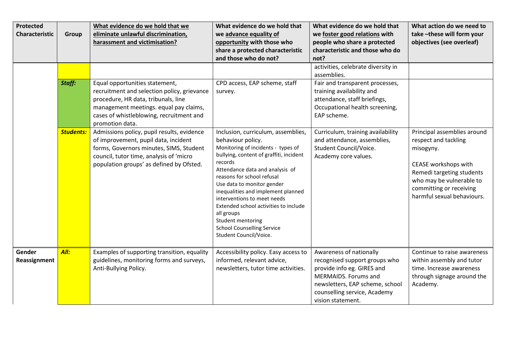| Protected      |                  | What evidence do we hold that we            | What evidence do we hold that                                     | What evidence do we hold that      | What action do we need to   |
|----------------|------------------|---------------------------------------------|-------------------------------------------------------------------|------------------------------------|-----------------------------|
| Characteristic | Group            | eliminate unlawful discrimination,          | we advance equality of                                            | we foster good relations with      | take-these will form your   |
|                |                  | harassment and victimisation?               | opportunity with those who                                        | people who share a protected       | objectives (see overleaf)   |
|                |                  |                                             | share a protected characteristic                                  | characteristic and those who do    |                             |
|                |                  |                                             | and those who do not?                                             | not?                               |                             |
|                |                  |                                             |                                                                   | activities, celebrate diversity in |                             |
|                |                  |                                             |                                                                   | assemblies.                        |                             |
|                | Staff:           | Equal opportunities statement,              | CPD access, EAP scheme, staff                                     | Fair and transparent processes,    |                             |
|                |                  | recruitment and selection policy, grievance | survey.                                                           | training availability and          |                             |
|                |                  | procedure, HR data, tribunals, line         |                                                                   | attendance, staff briefings,       |                             |
|                |                  | management meetings. equal pay claims,      |                                                                   | Occupational health screening,     |                             |
|                |                  | cases of whistleblowing, recruitment and    |                                                                   | EAP scheme.                        |                             |
|                |                  | promotion data.                             |                                                                   |                                    |                             |
|                | <b>Students:</b> | Admissions policy, pupil results, evidence  | Inclusion, curriculum, assemblies,                                | Curriculum, training availability  | Principal assemblies around |
|                |                  | of improvement, pupil data, incident        | behaviour policy.                                                 | and attendance, assemblies,        | respect and tackling        |
|                |                  | forms, Governors minutes, SIMS, Student     | Monitoring of incidents - types of                                | Student Council/Voice.             | misogyny.                   |
|                |                  | council, tutor time, analysis of 'micro     | bullying, content of graffiti, incident                           | Academy core values.               |                             |
|                |                  | population groups' as defined by Ofsted.    | records                                                           |                                    | CEASE workshops with        |
|                |                  |                                             | Attendance data and analysis of                                   |                                    | Remedi targeting students   |
|                |                  |                                             | reasons for school refusal                                        |                                    | who may be vulnerable to    |
|                |                  |                                             | Use data to monitor gender                                        |                                    | committing or receiving     |
|                |                  |                                             | inequalities and implement planned<br>interventions to meet needs |                                    | harmful sexual behaviours.  |
|                |                  |                                             | Extended school activities to include                             |                                    |                             |
|                |                  |                                             | all groups                                                        |                                    |                             |
|                |                  |                                             | Student mentoring                                                 |                                    |                             |
|                |                  |                                             | <b>School Counselling Service</b>                                 |                                    |                             |
|                |                  |                                             | Student Council/Voice.                                            |                                    |                             |
|                |                  |                                             |                                                                   |                                    |                             |
| Gender         | All:             | Examples of supporting transition, equality | Accessibility policy. Easy access to                              | Awareness of nationally            | Continue to raise awareness |
| Reassignment   |                  | guidelines, monitoring forms and surveys,   | informed, relevant advice,                                        | recognised support groups who      | within assembly and tutor   |
|                |                  | Anti-Bullying Policy.                       | newsletters, tutor time activities.                               | provide info eg. GIRES and         | time. Increase awareness    |
|                |                  |                                             |                                                                   | MERMAIDS. Forums and               | through signage around the  |
|                |                  |                                             |                                                                   | newsletters, EAP scheme, school    | Academy.                    |
|                |                  |                                             |                                                                   | counselling service, Academy       |                             |
|                |                  |                                             |                                                                   | vision statement.                  |                             |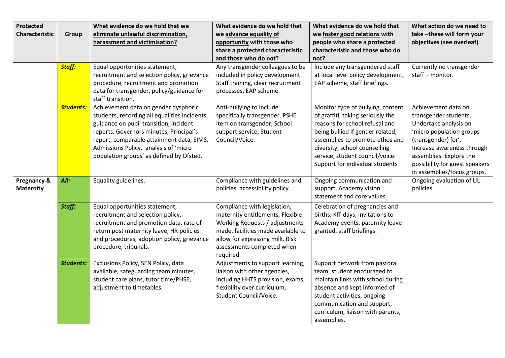| <b>Protected</b>      |                  | What evidence do we hold that we                               | What evidence do we hold that                                 | What evidence do we hold that      | What action do we need to      |
|-----------------------|------------------|----------------------------------------------------------------|---------------------------------------------------------------|------------------------------------|--------------------------------|
| <b>Characteristic</b> | Group            | eliminate unlawful discrimination,                             | we advance equality of                                        | we foster good relations with      | take-these will form your      |
|                       |                  | harassment and victimisation?                                  | opportunity with those who                                    | people who share a protected       | objectives (see overleaf)      |
|                       |                  |                                                                | share a protected characteristic                              | characteristic and those who do    |                                |
|                       |                  |                                                                | and those who do not?                                         | not?                               |                                |
|                       | <b>Staff:</b>    | Equal opportunities statement,                                 | Any transgender colleagues to be                              | Include any transgendered staff    | Currently no transgender       |
|                       |                  | recruitment and selection policy, grievance                    | included in policy development.                               | at local level policy development, | staff - monitor.               |
|                       |                  | procedure, recruitment and promotion                           | Staff training, clear recruitment                             | EAP scheme, staff briefings.       |                                |
|                       |                  | data for transgender, policy/guidance for<br>staff transition. | processes, EAP scheme.                                        |                                    |                                |
|                       | <b>Students:</b> | Achievement data on gender dysphoric                           | Anti-bullying to include                                      | Monitor type of bullying, content  | Achievement data on            |
|                       |                  | students, recording all equalities incidents,                  | specifically transgender. PSHE                                | of graffiti, taking seriously the  | transgender students.          |
|                       |                  | guidance on pupil transition, incident                         | item on transgender, School                                   | reasons for school refusal and     | Undertake analysis on          |
|                       |                  | reports, Governors minutes, Principal's                        | support service, Student                                      | being bullied if gender related,   | 'micro population groups       |
|                       |                  | report, comparable attainment data, SIMS,                      | Council/Voice.                                                | assemblies to promote ethos and    | (transgender) for'.            |
|                       |                  | Admissions Policy, analysis of 'micro                          |                                                               | diversity, school counselling      | Increase awareness through     |
|                       |                  | population groups' as defined by Ofsted.                       |                                                               | service, student council/voice.    | assemblies. Explore the        |
|                       |                  |                                                                |                                                               | Support for individual students    | possibility for guest speakers |
|                       |                  |                                                                |                                                               |                                    | in assemblies/focus groups.    |
| Pregnancy &           | All:             | Equality guidelines.                                           | Compliance with guidelines and                                | Ongoing communication and          | Ongoing evaluation of UL       |
| <b>Maternity</b>      |                  |                                                                | policies, accessibility policy.                               | support, Academy vision            | policies                       |
|                       |                  |                                                                |                                                               | statement and core values          |                                |
|                       | Staff:           | Equal opportunities statement,                                 | Compliance with legislation,                                  | Celebration of pregnancies and     |                                |
|                       |                  | recruitment and selection policy,                              | maternity entitlements, Flexible                              | births, KIT days, invitations to   |                                |
|                       |                  | recruitment and promotion data, rate of                        | Working Requests / adjustments                                | Academy events, paternity leave    |                                |
|                       |                  | return post maternity leave, HR policies                       | made, facilities made available to                            | granted, staff briefings.          |                                |
|                       |                  | and procedures, adoption policy, grievance                     | allow for expressing milk. Risk<br>assessments completed when |                                    |                                |
|                       |                  | procedure, tribunals.                                          | required.                                                     |                                    |                                |
|                       | <b>Students:</b> | Exclusions Policy, SEN Policy, data                            | Adjustments to support learning,                              | Support network from pastoral      |                                |
|                       |                  | available, safeguarding team minutes,                          | liaison with other agencies,                                  | team, student encouraged to        |                                |
|                       |                  | student care plans, tutor time/PHSE,                           | including HHTS provision, exams,                              | maintain links with school during  |                                |
|                       |                  | adjustment to timetables.                                      | flexibility over curriculum,                                  | absence and kept informed of       |                                |
|                       |                  |                                                                | Student Council/Voice.                                        | student activities, ongoing        |                                |
|                       |                  |                                                                |                                                               | communication and support,         |                                |
|                       |                  |                                                                |                                                               | curriculum, liaison with parents,  |                                |
|                       |                  |                                                                |                                                               | assemblies.                        |                                |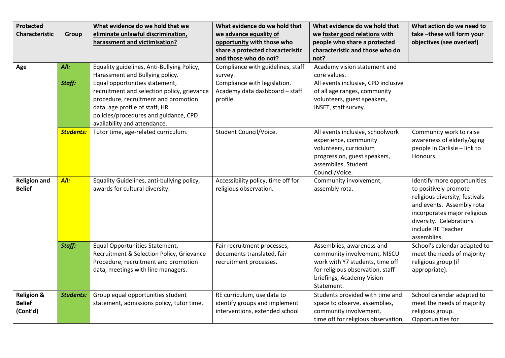| <b>Protected</b>      |                  | What evidence do we hold that we            | What evidence do we hold that      | What evidence do we hold that       | What action do we need to      |
|-----------------------|------------------|---------------------------------------------|------------------------------------|-------------------------------------|--------------------------------|
| <b>Characteristic</b> | Group            | eliminate unlawful discrimination,          | we advance equality of             | we foster good relations with       | take-these will form your      |
|                       |                  | harassment and victimisation?               | opportunity with those who         | people who share a protected        | objectives (see overleaf)      |
|                       |                  |                                             | share a protected characteristic   | characteristic and those who do     |                                |
|                       |                  |                                             | and those who do not?              | not?                                |                                |
| Age                   | All:             | Equality guidelines, Anti-Bullying Policy,  | Compliance with guidelines, staff  | Academy vision statement and        |                                |
|                       |                  | Harassment and Bullying policy.             | survey.                            | core values.                        |                                |
|                       | Staff:           | Equal opportunities statement,              | Compliance with legislation.       | All events inclusive, CPD inclusive |                                |
|                       |                  | recruitment and selection policy, grievance | Academy data dashboard - staff     | of all age ranges, community        |                                |
|                       |                  | procedure, recruitment and promotion        | profile.                           | volunteers, guest speakers,         |                                |
|                       |                  | data, age profile of staff, HR              |                                    | INSET, staff survey.                |                                |
|                       |                  | policies/procedures and guidance, CPD       |                                    |                                     |                                |
|                       |                  | availability and attendance.                |                                    |                                     |                                |
|                       | <b>Students:</b> | Tutor time, age-related curriculum.         | Student Council/Voice.             | All events inclusive, schoolwork    | Community work to raise        |
|                       |                  |                                             |                                    | experience, community               | awareness of elderly/aging     |
|                       |                  |                                             |                                    | volunteers, curriculum              | people in Carlisle - link to   |
|                       |                  |                                             |                                    | progression, guest speakers,        | Honours.                       |
|                       |                  |                                             |                                    | assemblies, Student                 |                                |
|                       |                  |                                             |                                    | Council/Voice.                      |                                |
| <b>Religion and</b>   | All:             | Equality Guidelines, anti-bullying policy,  | Accessibility policy, time off for | Community involvement,              | Identify more opportunities    |
| <b>Belief</b>         |                  | awards for cultural diversity.              | religious observation.             | assembly rota.                      | to positively promote          |
|                       |                  |                                             |                                    |                                     | religious diversity, festivals |
|                       |                  |                                             |                                    |                                     | and events. Assembly rota      |
|                       |                  |                                             |                                    |                                     | incorporates major religious   |
|                       |                  |                                             |                                    |                                     | diversity. Celebrations        |
|                       |                  |                                             |                                    |                                     | include RE Teacher             |
|                       |                  |                                             |                                    |                                     | assemblies.                    |
|                       | Staff:           | Equal Opportunities Statement,              | Fair recruitment processes,        | Assemblies, awareness and           | School's calendar adapted to   |
|                       |                  | Recruitment & Selection Policy, Grievance   | documents translated, fair         | community involvement, NISCU        | meet the needs of majority     |
|                       |                  | Procedure, recruitment and promotion        | recruitment processes.             | work with Y7 students, time off     | religious group (if            |
|                       |                  | data, meetings with line managers.          |                                    | for religious observation, staff    | appropriate).                  |
|                       |                  |                                             |                                    | briefings, Academy Vision           |                                |
|                       |                  |                                             |                                    | Statement.                          |                                |
| <b>Religion &amp;</b> | <b>Students:</b> | Group equal opportunities student           | RE curriculum, use data to         | Students provided with time and     | School calendar adapted to     |
| <b>Belief</b>         |                  | statement, admissions policy, tutor time.   | identify groups and implement      | space to observe, assemblies,       | meet the needs of majority     |
| (Cont'd)              |                  |                                             | interventions, extended school     | community involvement,              | religious group.               |
|                       |                  |                                             |                                    | time off for religious observation, | Opportunities for              |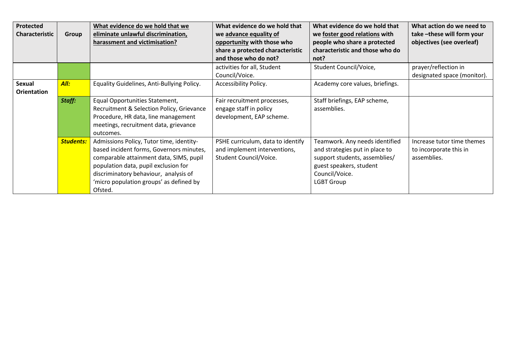| <b>Protected</b><br><b>Characteristic</b> | Group            | What evidence do we hold that we<br>eliminate unlawful discrimination,<br>harassment and victimisation?                                                                                                                                                                | What evidence do we hold that<br>we advance equality of<br>opportunity with those who<br>share a protected characteristic | What evidence do we hold that<br>we foster good relations with<br>people who share a protected<br>characteristic and those who do                                   | What action do we need to<br>take-these will form your<br>objectives (see overleaf) |
|-------------------------------------------|------------------|------------------------------------------------------------------------------------------------------------------------------------------------------------------------------------------------------------------------------------------------------------------------|---------------------------------------------------------------------------------------------------------------------------|---------------------------------------------------------------------------------------------------------------------------------------------------------------------|-------------------------------------------------------------------------------------|
|                                           |                  |                                                                                                                                                                                                                                                                        | and those who do not?                                                                                                     | not?                                                                                                                                                                |                                                                                     |
|                                           |                  |                                                                                                                                                                                                                                                                        | activities for all, Student<br>Council/Voice.                                                                             | Student Council/Voice,                                                                                                                                              | prayer/reflection in<br>designated space (monitor).                                 |
| <b>Sexual</b><br><b>Orientation</b>       | All:             | Equality Guidelines, Anti-Bullying Policy.                                                                                                                                                                                                                             | Accessibility Policy.                                                                                                     | Academy core values, briefings.                                                                                                                                     |                                                                                     |
|                                           | Staff:           | Equal Opportunities Statement,<br>Recruitment & Selection Policy, Grievance<br>Procedure, HR data, line management<br>meetings, recruitment data, grievance<br>outcomes.                                                                                               | Fair recruitment processes,<br>engage staff in policy<br>development, EAP scheme.                                         | Staff briefings, EAP scheme,<br>assemblies.                                                                                                                         |                                                                                     |
|                                           | <b>Students:</b> | Admissions Policy, Tutor time, identity-<br>based incident forms, Governors minutes,<br>comparable attainment data, SIMS, pupil<br>population data, pupil exclusion for<br>discriminatory behaviour, analysis of<br>'micro population groups' as defined by<br>Ofsted. | PSHE curriculum, data to identify<br>and implement interventions,<br>Student Council/Voice.                               | Teamwork. Any needs identified<br>and strategies put in place to<br>support students, assemblies/<br>guest speakers, student<br>Council/Voice.<br><b>LGBT Group</b> | Increase tutor time themes<br>to incorporate this in<br>assemblies.                 |